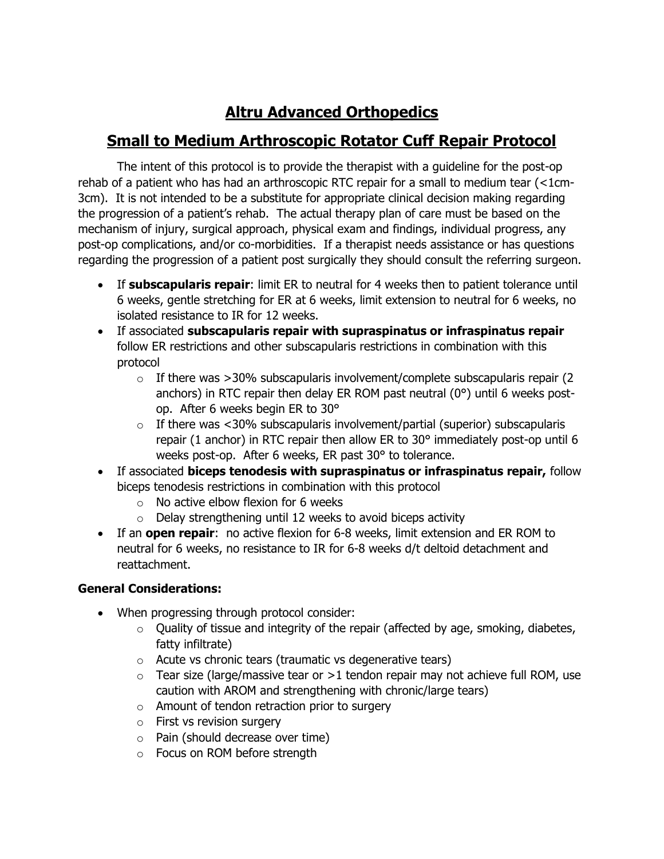# **Altru Advanced Orthopedics**

## **Small to Medium Arthroscopic Rotator Cuff Repair Protocol**

The intent of this protocol is to provide the therapist with a guideline for the post-op rehab of a patient who has had an arthroscopic RTC repair for a small to medium tear (<1cm-3cm). It is not intended to be a substitute for appropriate clinical decision making regarding the progression of a patient's rehab. The actual therapy plan of care must be based on the mechanism of injury, surgical approach, physical exam and findings, individual progress, any post-op complications, and/or co-morbidities. If a therapist needs assistance or has questions regarding the progression of a patient post surgically they should consult the referring surgeon.

- If **subscapularis repair**: limit ER to neutral for 4 weeks then to patient tolerance until 6 weeks, gentle stretching for ER at 6 weeks, limit extension to neutral for 6 weeks, no isolated resistance to IR for 12 weeks.
- If associated **subscapularis repair with supraspinatus or infraspinatus repair** follow ER restrictions and other subscapularis restrictions in combination with this protocol
	- $\circ$  If there was >30% subscapularis involvement/complete subscapularis repair (2) anchors) in RTC repair then delay ER ROM past neutral (0°) until 6 weeks postop. After 6 weeks begin ER to 30°
	- $\circ$  If there was <30% subscapularis involvement/partial (superior) subscapularis repair (1 anchor) in RTC repair then allow ER to 30° immediately post-op until 6 weeks post-op. After 6 weeks, ER past 30° to tolerance.
- If associated **biceps tenodesis with supraspinatus or infraspinatus repair,** follow biceps tenodesis restrictions in combination with this protocol
	- $\circ$  No active elbow flexion for 6 weeks
	- $\circ$  Delay strengthening until 12 weeks to avoid biceps activity
- If an **open repair**: no active flexion for 6-8 weeks, limit extension and ER ROM to neutral for 6 weeks, no resistance to IR for 6-8 weeks d/t deltoid detachment and reattachment.

## **General Considerations:**

- When progressing through protocol consider:
	- $\circ$  Quality of tissue and integrity of the repair (affected by age, smoking, diabetes, fatty infiltrate)
	- $\circ$  Acute vs chronic tears (traumatic vs degenerative tears)
	- $\circ$  Tear size (large/massive tear or >1 tendon repair may not achieve full ROM, use caution with AROM and strengthening with chronic/large tears)
	- o Amount of tendon retraction prior to surgery
	- o First vs revision surgery
	- o Pain (should decrease over time)
	- o Focus on ROM before strength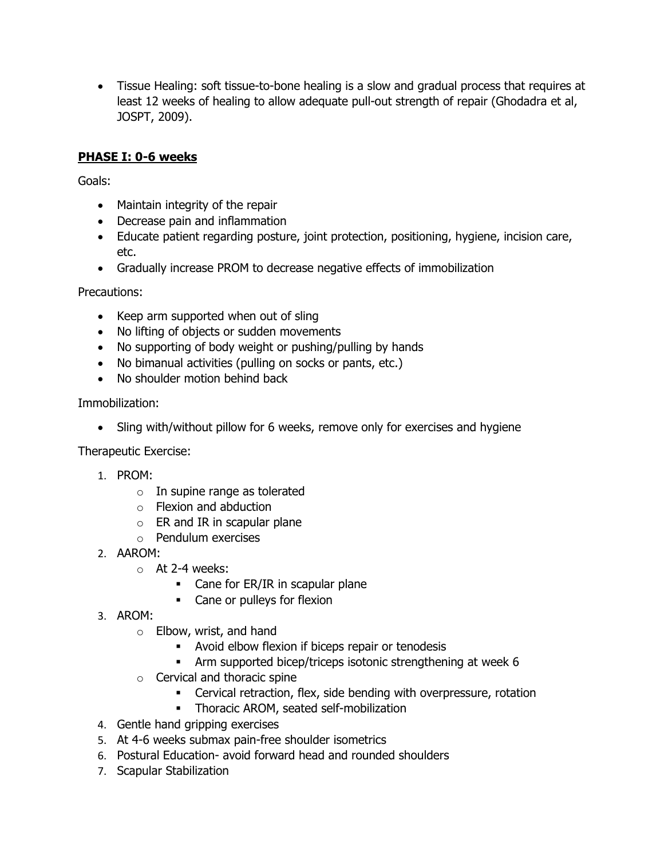• Tissue Healing: soft tissue-to-bone healing is a slow and gradual process that requires at least 12 weeks of healing to allow adequate pull-out strength of repair (Ghodadra et al, JOSPT, 2009).

## **PHASE I: 0-6 weeks**

Goals:

- Maintain integrity of the repair
- Decrease pain and inflammation
- Educate patient regarding posture, joint protection, positioning, hygiene, incision care, etc.
- Gradually increase PROM to decrease negative effects of immobilization

Precautions:

- Keep arm supported when out of sling
- No lifting of objects or sudden movements
- No supporting of body weight or pushing/pulling by hands
- No bimanual activities (pulling on socks or pants, etc.)
- No shoulder motion behind back

Immobilization:

• Sling with/without pillow for 6 weeks, remove only for exercises and hygiene

Therapeutic Exercise:

- 1. PROM:
	- $\circ$  In supine range as tolerated
	- o Flexion and abduction
	- $\circ$  ER and IR in scapular plane
	- o Pendulum exercises
- 2. AAROM:
	- o At 2-4 weeks:
		- Cane for ER/IR in scapular plane
		- Cane or pulleys for flexion
- 3. AROM:
	- o Elbow, wrist, and hand
		- Avoid elbow flexion if biceps repair or tenodesis
		- **•** Arm supported bicep/triceps isotonic strengthening at week 6
	- o Cervical and thoracic spine
		- **EXECT** Cervical retraction, flex, side bending with overpressure, rotation
		- **·** Thoracic AROM, seated self-mobilization
- 4. Gentle hand gripping exercises
- 5. At 4-6 weeks submax pain-free shoulder isometrics
- 6. Postural Education- avoid forward head and rounded shoulders
- 7. Scapular Stabilization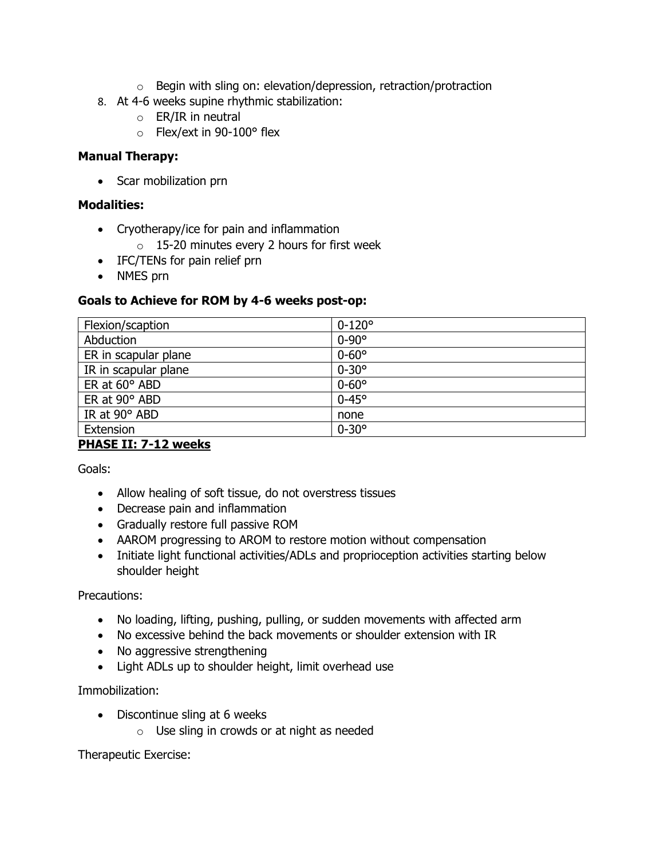- $\circ$  Begin with sling on: elevation/depression, retraction/protraction
- 8. At 4-6 weeks supine rhythmic stabilization:
	- $\circ$  ER/IR in neutral
	- o Flex/ext in 90-100° flex

#### **Manual Therapy:**

• Scar mobilization prn

#### **Modalities:**

- Cryotherapy/ice for pain and inflammation
	- o 15-20 minutes every 2 hours for first week
- IFC/TENs for pain relief prn
- NMES prn

#### **Goals to Achieve for ROM by 4-6 weeks post-op:**

| Flexion/scaption     | $0 - 120^{\circ}$ |
|----------------------|-------------------|
| Abduction            | $0-90^\circ$      |
| ER in scapular plane | $0-60^\circ$      |
| IR in scapular plane | $0 - 30^{\circ}$  |
| ER at $60^\circ$ ABD | $0 - 60^{\circ}$  |
| ER at 90° ABD        | $0-45^\circ$      |
| IR at 90° ABD        | none              |
| Extension            | $0 - 30^{\circ}$  |

## **PHASE II: 7-12 weeks**

Goals:

- Allow healing of soft tissue, do not overstress tissues
- Decrease pain and inflammation
- Gradually restore full passive ROM
- AAROM progressing to AROM to restore motion without compensation
- Initiate light functional activities/ADLs and proprioception activities starting below shoulder height

#### Precautions:

- No loading, lifting, pushing, pulling, or sudden movements with affected arm
- No excessive behind the back movements or shoulder extension with IR
- No aggressive strengthening
- Light ADLs up to shoulder height, limit overhead use

#### Immobilization:

- Discontinue sling at 6 weeks
	- $\circ$  Use sling in crowds or at night as needed

Therapeutic Exercise: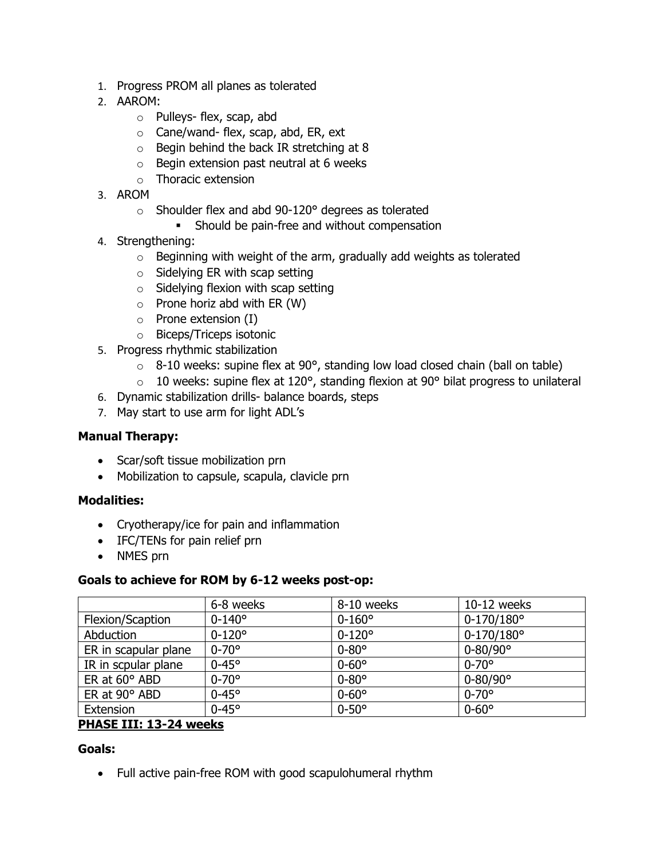- 1. Progress PROM all planes as tolerated
- 2. AAROM:
	- o Pulleys- flex, scap, abd
	- o Cane/wand- flex, scap, abd, ER, ext
	- o Begin behind the back IR stretching at 8
	- o Begin extension past neutral at 6 weeks
	- o Thoracic extension
- 3. AROM
	- o Shoulder flex and abd 90-120° degrees as tolerated
		- **EXECUTE:** Should be pain-free and without compensation
- 4. Strengthening:
	- $\circ$  Beginning with weight of the arm, gradually add weights as tolerated
	- $\circ$  Sidelying ER with scap setting
	- $\circ$  Sidelying flexion with scap setting
	- $\circ$  Prone horiz abd with ER (W)
	- $\circ$  Prone extension (I)
	- o Biceps/Triceps isotonic
- 5. Progress rhythmic stabilization
	- $\circ$  8-10 weeks: supine flex at 90°, standing low load closed chain (ball on table)
	- $\circ$  10 weeks: supine flex at 120 $\circ$ , standing flexion at 90 $\circ$  bilat progress to unilateral
- 6. Dynamic stabilization drills- balance boards, steps
- 7. May start to use arm for light ADL's

## **Manual Therapy:**

- Scar/soft tissue mobilization prn
- Mobilization to capsule, scapula, clavicle prn

## **Modalities:**

- Cryotherapy/ice for pain and inflammation
- IFC/TENs for pain relief prn
- NMES prn

## **Goals to achieve for ROM by 6-12 weeks post-op:**

|                      | 6-8 weeks         | 8-10 weeks        | 10-12 weeks         |
|----------------------|-------------------|-------------------|---------------------|
| Flexion/Scaption     | $0 - 140^{\circ}$ | $0 - 160^{\circ}$ | $0-170/180^{\circ}$ |
| Abduction            | $0 - 120^{\circ}$ | $0 - 120^{\circ}$ | $0-170/180^{\circ}$ |
| ER in scapular plane | $0 - 70^{\circ}$  | $0-80^\circ$      | $0 - 80/90^{\circ}$ |
| IR in scpular plane  | $0-45^\circ$      | $0 - 60^{\circ}$  | $0 - 70^{\circ}$    |
| ER at $60^\circ$ ABD | $0 - 70^{\circ}$  | $0-80^\circ$      | $0 - 80/90^{\circ}$ |
| ER at 90° ABD        | $0-45^\circ$      | $0 - 60^{\circ}$  | $0 - 70^{\circ}$    |
| Extension            | $0-45^\circ$      | $0-50^\circ$      | $0-60^\circ$        |
|                      |                   |                   |                     |

## **PHASE III: 13-24 weeks**

## **Goals:**

• Full active pain-free ROM with good scapulohumeral rhythm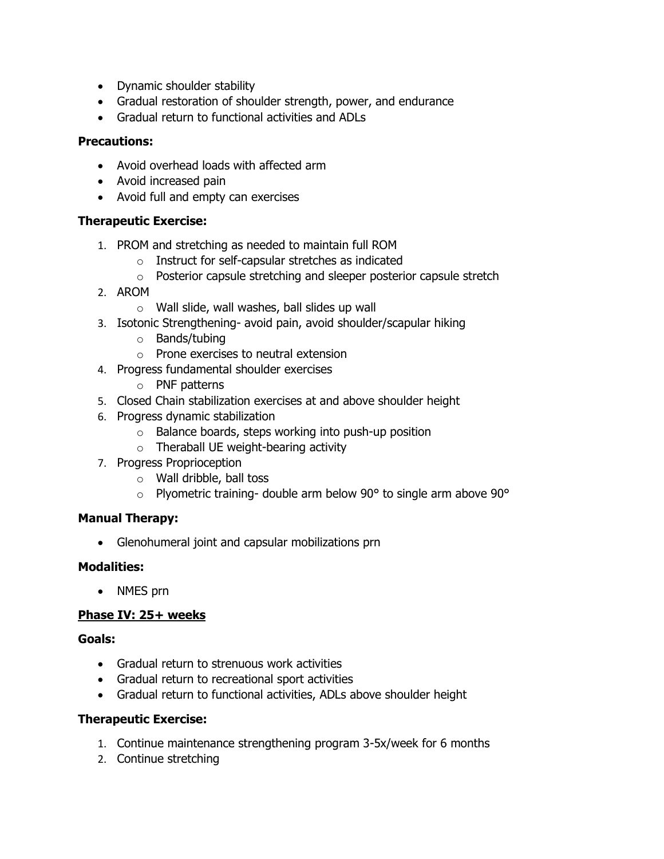- Dynamic shoulder stability
- Gradual restoration of shoulder strength, power, and endurance
- Gradual return to functional activities and ADLs

#### **Precautions:**

- Avoid overhead loads with affected arm
- Avoid increased pain
- Avoid full and empty can exercises

#### **Therapeutic Exercise:**

- 1. PROM and stretching as needed to maintain full ROM
	- o Instruct for self-capsular stretches as indicated
	- o Posterior capsule stretching and sleeper posterior capsule stretch
- 2. AROM
	- o Wall slide, wall washes, ball slides up wall
- 3. Isotonic Strengthening- avoid pain, avoid shoulder/scapular hiking
	- o Bands/tubing
	- o Prone exercises to neutral extension
- 4. Progress fundamental shoulder exercises
	- o PNF patterns
- 5. Closed Chain stabilization exercises at and above shoulder height
- 6. Progress dynamic stabilization
	- $\circ$  Balance boards, steps working into push-up position
	- o Theraball UE weight-bearing activity
- 7. Progress Proprioception
	- o Wall dribble, ball toss
	- $\degree$  Plyometric training- double arm below 90 $\degree$  to single arm above 90 $\degree$

#### **Manual Therapy:**

• Glenohumeral joint and capsular mobilizations prn

## **Modalities:**

• NMES prn

## **Phase IV: 25+ weeks**

#### **Goals:**

- Gradual return to strenuous work activities
- Gradual return to recreational sport activities
- Gradual return to functional activities, ADLs above shoulder height

#### **Therapeutic Exercise:**

- 1. Continue maintenance strengthening program 3-5x/week for 6 months
- 2. Continue stretching